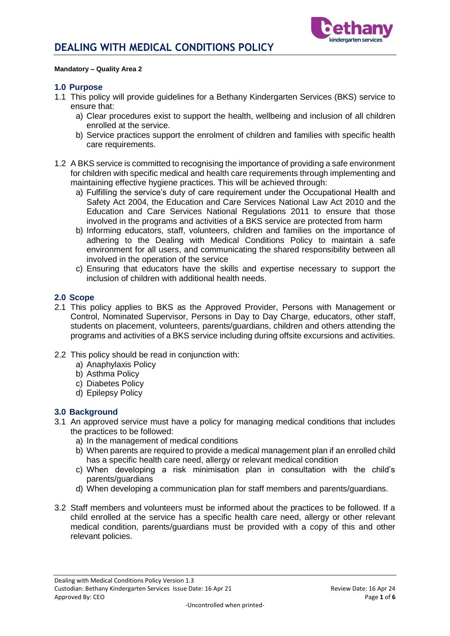

#### **Mandatory – Quality Area 2**

#### **1.0 Purpose**

- 1.1 This policy will provide guidelines for a Bethany Kindergarten Services (BKS) service to ensure that:
	- a) Clear procedures exist to support the health, wellbeing and inclusion of all children enrolled at the service.
	- b) Service practices support the enrolment of children and families with specific health care requirements.
- 1.2 A BKS service is committed to recognising the importance of providing a safe environment for children with specific medical and health care requirements through implementing and maintaining effective hygiene practices. This will be achieved through:
	- a) Fulfilling the service's duty of care requirement under the Occupational Health and Safety Act 2004, the Education and Care Services National Law Act 2010 and the Education and Care Services National Regulations 2011 to ensure that those involved in the programs and activities of a BKS service are protected from harm
	- b) Informing educators, staff, volunteers, children and families on the importance of adhering to the Dealing with Medical Conditions Policy to maintain a safe environment for all users, and communicating the shared responsibility between all involved in the operation of the service
	- c) Ensuring that educators have the skills and expertise necessary to support the inclusion of children with additional health needs.

#### **2.0 Scope**

- 2.1 This policy applies to BKS as the Approved Provider, Persons with Management or Control, Nominated Supervisor, Persons in Day to Day Charge, educators, other staff, students on placement, volunteers, parents/guardians, children and others attending the programs and activities of a BKS service including during offsite excursions and activities.
- 2.2 This policy should be read in conjunction with:
	- a) Anaphylaxis Policy
	- b) Asthma Policy
	- c) Diabetes Policy
	- d) Epilepsy Policy

#### **3.0 Background**

- 3.1 An approved service must have a policy for managing medical conditions that includes the practices to be followed:
	- a) In the management of medical conditions
	- b) When parents are required to provide a medical management plan if an enrolled child has a specific health care need, allergy or relevant medical condition
	- c) When developing a risk minimisation plan in consultation with the child's parents/guardians
	- d) When developing a communication plan for staff members and parents/guardians.
- 3.2 Staff members and volunteers must be informed about the practices to be followed. If a child enrolled at the service has a specific health care need, allergy or other relevant medical condition, parents/guardians must be provided with a copy of this and other relevant policies.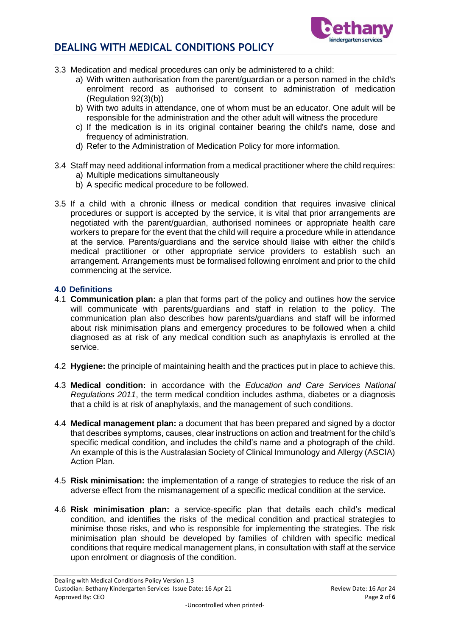

- 3.3 Medication and medical procedures can only be administered to a child:
	- a) With written authorisation from the parent/guardian or a person named in the child's enrolment record as authorised to consent to administration of medication (Regulation 92(3)(b))
	- b) With two adults in attendance, one of whom must be an educator. One adult will be responsible for the administration and the other adult will witness the procedure
	- c) If the medication is in its original container bearing the child's name, dose and frequency of administration.
	- d) Refer to the Administration of Medication Policy for more information.
- 3.4 Staff may need additional information from a medical practitioner where the child requires:
	- a) Multiple medications simultaneously
	- b) A specific medical procedure to be followed.
- 3.5 If a child with a chronic illness or medical condition that requires invasive clinical procedures or support is accepted by the service, it is vital that prior arrangements are negotiated with the parent/guardian, authorised nominees or appropriate health care workers to prepare for the event that the child will require a procedure while in attendance at the service. Parents/guardians and the service should liaise with either the child's medical practitioner or other appropriate service providers to establish such an arrangement. Arrangements must be formalised following enrolment and prior to the child commencing at the service.

#### **4.0 Definitions**

- 4.1 **Communication plan:** a plan that forms part of the policy and outlines how the service will communicate with parents/guardians and staff in relation to the policy. The communication plan also describes how parents/guardians and staff will be informed about risk minimisation plans and emergency procedures to be followed when a child diagnosed as at risk of any medical condition such as anaphylaxis is enrolled at the service.
- 4.2 **Hygiene:** the principle of maintaining health and the practices put in place to achieve this.
- 4.3 **Medical condition:** in accordance with the *Education and Care Services National Regulations 2011*, the term medical condition includes asthma, diabetes or a diagnosis that a child is at risk of anaphylaxis, and the management of such conditions.
- 4.4 **Medical management plan:** a document that has been prepared and signed by a doctor that describes symptoms, causes, clear instructions on action and treatment for the child's specific medical condition, and includes the child's name and a photograph of the child. An example of this is the Australasian Society of Clinical Immunology and Allergy (ASCIA) Action Plan.
- 4.5 **Risk minimisation:** the implementation of a range of strategies to reduce the risk of an adverse effect from the mismanagement of a specific medical condition at the service.
- 4.6 **Risk minimisation plan:** a service-specific plan that details each child's medical condition, and identifies the risks of the medical condition and practical strategies to minimise those risks, and who is responsible for implementing the strategies. The risk minimisation plan should be developed by families of children with specific medical conditions that require medical management plans, in consultation with staff at the service upon enrolment or diagnosis of the condition.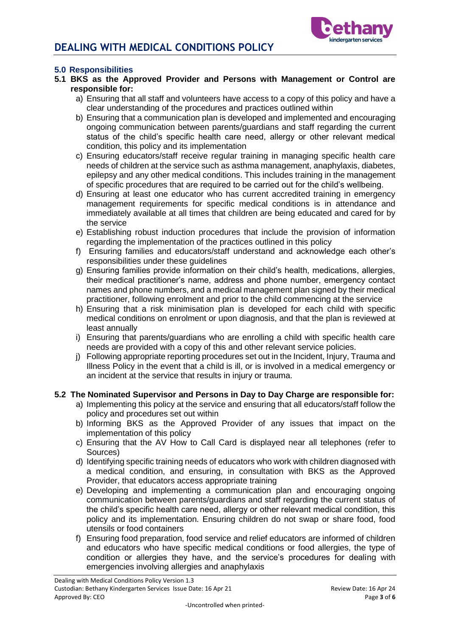

### **5.0 Responsibilities**

- **5.1 BKS as the Approved Provider and Persons with Management or Control are responsible for:**
	- a) Ensuring that all staff and volunteers have access to a copy of this policy and have a clear understanding of the procedures and practices outlined within
	- b) Ensuring that a communication plan is developed and implemented and encouraging ongoing communication between parents/guardians and staff regarding the current status of the child's specific health care need, allergy or other relevant medical condition, this policy and its implementation
	- c) Ensuring educators/staff receive regular training in managing specific health care needs of children at the service such as asthma management, anaphylaxis, diabetes, epilepsy and any other medical conditions. This includes training in the management of specific procedures that are required to be carried out for the child's wellbeing.
	- d) Ensuring at least one educator who has current accredited training in emergency management requirements for specific medical conditions is in attendance and immediately available at all times that children are being educated and cared for by the service
	- e) Establishing robust induction procedures that include the provision of information regarding the implementation of the practices outlined in this policy
	- f) Ensuring families and educators/staff understand and acknowledge each other's responsibilities under these guidelines
	- g) Ensuring families provide information on their child's health, medications, allergies, their medical practitioner's name, address and phone number, emergency contact names and phone numbers, and a medical management plan signed by their medical practitioner, following enrolment and prior to the child commencing at the service
	- h) Ensuring that a risk minimisation plan is developed for each child with specific medical conditions on enrolment or upon diagnosis, and that the plan is reviewed at least annually
	- i) Ensuring that parents/guardians who are enrolling a child with specific health care needs are provided with a copy of this and other relevant service policies.
	- j) Following appropriate reporting procedures set out in the Incident, Injury, Trauma and Illness Policy in the event that a child is ill, or is involved in a medical emergency or an incident at the service that results in injury or trauma.

#### **5.2 The Nominated Supervisor and Persons in Day to Day Charge are responsible for:**

- a) Implementing this policy at the service and ensuring that all educators/staff follow the policy and procedures set out within
- b) Informing BKS as the Approved Provider of any issues that impact on the implementation of this policy
- c) Ensuring that the AV How to Call Card is displayed near all telephones (refer to Sources)
- d) Identifying specific training needs of educators who work with children diagnosed with a medical condition, and ensuring, in consultation with BKS as the Approved Provider, that educators access appropriate training
- e) Developing and implementing a communication plan and encouraging ongoing communication between parents/guardians and staff regarding the current status of the child's specific health care need, allergy or other relevant medical condition, this policy and its implementation. Ensuring children do not swap or share food, food utensils or food containers
- f) Ensuring food preparation, food service and relief educators are informed of children and educators who have specific medical conditions or food allergies, the type of condition or allergies they have, and the service's procedures for dealing with emergencies involving allergies and anaphylaxis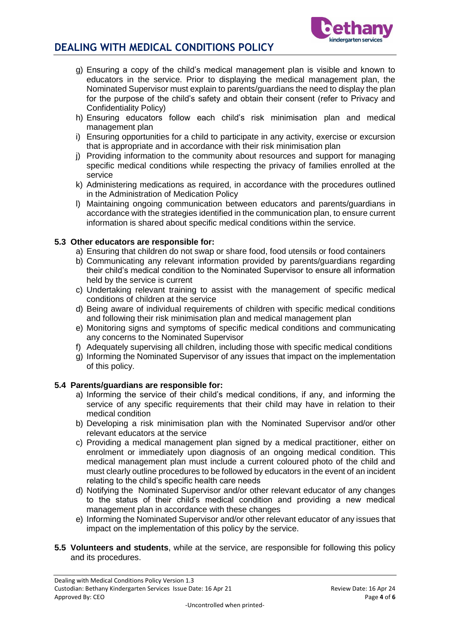

- g) Ensuring a copy of the child's medical management plan is visible and known to educators in the service. Prior to displaying the medical management plan, the Nominated Supervisor must explain to parents/guardians the need to display the plan for the purpose of the child's safety and obtain their consent (refer to Privacy and Confidentiality Policy)
- h) Ensuring educators follow each child's risk minimisation plan and medical management plan
- i) Ensuring opportunities for a child to participate in any activity, exercise or excursion that is appropriate and in accordance with their risk minimisation plan
- j) Providing information to the community about resources and support for managing specific medical conditions while respecting the privacy of families enrolled at the service
- k) Administering medications as required, in accordance with the procedures outlined in the Administration of Medication Policy
- l) Maintaining ongoing communication between educators and parents/guardians in accordance with the strategies identified in the communication plan, to ensure current information is shared about specific medical conditions within the service.

#### **5.3 Other educators are responsible for:**

- a) Ensuring that children do not swap or share food, food utensils or food containers
- b) Communicating any relevant information provided by parents/guardians regarding their child's medical condition to the Nominated Supervisor to ensure all information held by the service is current
- c) Undertaking relevant training to assist with the management of specific medical conditions of children at the service
- d) Being aware of individual requirements of children with specific medical conditions and following their risk minimisation plan and medical management plan
- e) Monitoring signs and symptoms of specific medical conditions and communicating any concerns to the Nominated Supervisor
- f) Adequately supervising all children, including those with specific medical conditions
- g) Informing the Nominated Supervisor of any issues that impact on the implementation of this policy.

#### **5.4 Parents/guardians are responsible for:**

- a) Informing the service of their child's medical conditions, if any, and informing the service of any specific requirements that their child may have in relation to their medical condition
- b) Developing a risk minimisation plan with the Nominated Supervisor and/or other relevant educators at the service
- c) Providing a medical management plan signed by a medical practitioner, either on enrolment or immediately upon diagnosis of an ongoing medical condition. This medical management plan must include a current coloured photo of the child and must clearly outline procedures to be followed by educators in the event of an incident relating to the child's specific health care needs
- d) Notifying the Nominated Supervisor and/or other relevant educator of any changes to the status of their child's medical condition and providing a new medical management plan in accordance with these changes
- e) Informing the Nominated Supervisor and/or other relevant educator of any issues that impact on the implementation of this policy by the service.
- **5.5 Volunteers and students**, while at the service, are responsible for following this policy and its procedures.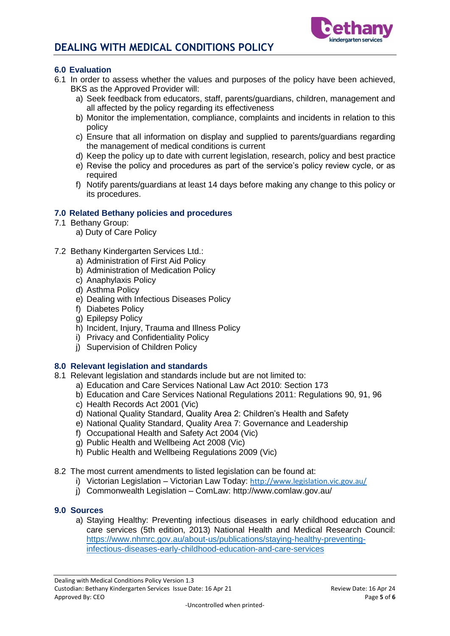

### **6.0 Evaluation**

- 6.1 In order to assess whether the values and purposes of the policy have been achieved, BKS as the Approved Provider will:
	- a) Seek feedback from educators, staff, parents/guardians, children, management and all affected by the policy regarding its effectiveness
	- b) Monitor the implementation, compliance, complaints and incidents in relation to this policy
	- c) Ensure that all information on display and supplied to parents/guardians regarding the management of medical conditions is current
	- d) Keep the policy up to date with current legislation, research, policy and best practice
	- e) Revise the policy and procedures as part of the service's policy review cycle, or as required
	- f) Notify parents/guardians at least 14 days before making any change to this policy or its procedures.

#### **7.0 Related Bethany policies and procedures**

- 7.1 Bethany Group:
	- a) Duty of Care Policy
- 7.2 Bethany Kindergarten Services Ltd.:
	- a) Administration of First Aid Policy
	- b) Administration of Medication Policy
	- c) Anaphylaxis Policy
	- d) Asthma Policy
	- e) Dealing with Infectious Diseases Policy
	- f) Diabetes Policy
	- g) Epilepsy Policy
	- h) Incident, Injury, Trauma and Illness Policy
	- i) Privacy and Confidentiality Policy
	- j) Supervision of Children Policy

#### **8.0 Relevant legislation and standards**

- 8.1 Relevant legislation and standards include but are not limited to:
	- a) Education and Care Services National Law Act 2010: Section 173
	- b) Education and Care Services National Regulations 2011: Regulations 90, 91, 96
	- c) Health Records Act 2001 (Vic)
	- d) National Quality Standard, Quality Area 2: Children's Health and Safety
	- e) National Quality Standard, Quality Area 7: Governance and Leadership
	- f) Occupational Health and Safety Act 2004 (Vic)
	- g) Public Health and Wellbeing Act 2008 (Vic)
	- h) Public Health and Wellbeing Regulations 2009 (Vic)
- 8.2 The most current amendments to listed legislation can be found at:
	- i) Victorian Legislation Victorian Law Today: <http://www.legislation.vic.gov.au/>
	- j) Commonwealth Legislation ComLaw:<http://www.comlaw.gov.au/>

#### **9.0 Sources**

a) Staying Healthy: Preventing infectious diseases in early childhood education and care services (5th edition, 2013) National Health and Medical Research Council: [https://www.nhmrc.gov.au/about-us/publications/staying-healthy-preventing](https://www.nhmrc.gov.au/about-us/publications/staying-healthy-preventing-infectious-diseases-early-childhood-education-and-care-services)[infectious-diseases-early-childhood-education-and-care-services](https://www.nhmrc.gov.au/about-us/publications/staying-healthy-preventing-infectious-diseases-early-childhood-education-and-care-services)